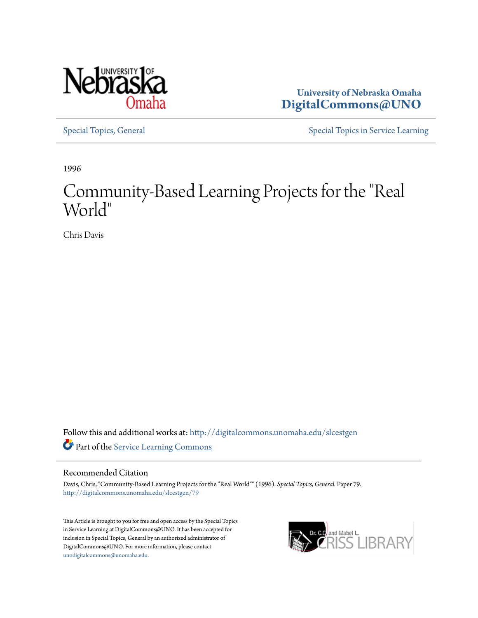

**University of Nebraska Omaha [DigitalCommons@UNO](http://digitalcommons.unomaha.edu?utm_source=digitalcommons.unomaha.edu%2Fslcestgen%2F79&utm_medium=PDF&utm_campaign=PDFCoverPages)**

[Special Topics, General](http://digitalcommons.unomaha.edu/slcestgen?utm_source=digitalcommons.unomaha.edu%2Fslcestgen%2F79&utm_medium=PDF&utm_campaign=PDFCoverPages) [Special Topics in Service Learning](http://digitalcommons.unomaha.edu/slcespecialtopics?utm_source=digitalcommons.unomaha.edu%2Fslcestgen%2F79&utm_medium=PDF&utm_campaign=PDFCoverPages)

1996

## Community-Based Learning Projects for the "Real World"

Chris Davis

Follow this and additional works at: [http://digitalcommons.unomaha.edu/slcestgen](http://digitalcommons.unomaha.edu/slcestgen?utm_source=digitalcommons.unomaha.edu%2Fslcestgen%2F79&utm_medium=PDF&utm_campaign=PDFCoverPages) Part of the [Service Learning Commons](http://network.bepress.com/hgg/discipline/1024?utm_source=digitalcommons.unomaha.edu%2Fslcestgen%2F79&utm_medium=PDF&utm_campaign=PDFCoverPages)

## Recommended Citation

Davis, Chris, "Community-Based Learning Projects for the "Real World"" (1996). *Special Topics, General.* Paper 79. [http://digitalcommons.unomaha.edu/slcestgen/79](http://digitalcommons.unomaha.edu/slcestgen/79?utm_source=digitalcommons.unomaha.edu%2Fslcestgen%2F79&utm_medium=PDF&utm_campaign=PDFCoverPages)

This Article is brought to you for free and open access by the Special Topics in Service Learning at DigitalCommons@UNO. It has been accepted for inclusion in Special Topics, General by an authorized administrator of DigitalCommons@UNO. For more information, please contact [unodigitalcommons@unomaha.edu](mailto:unodigitalcommons@unomaha.edu).

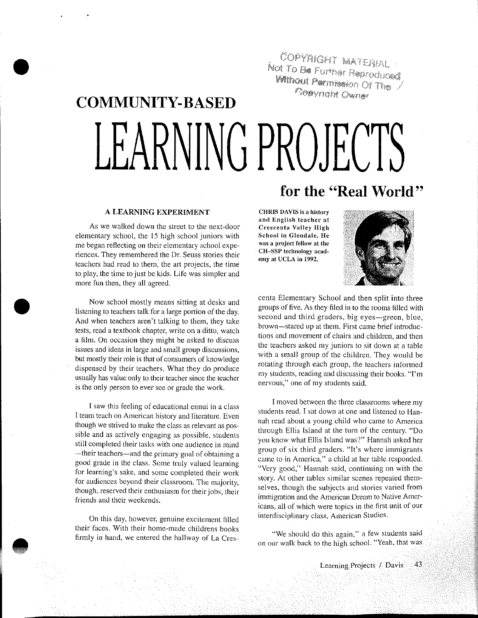COPYRIGHT MATERIAL NOT TO BE FULLED MATERIAL **Without Permission Of The Popyright Owner** 

# COMMUNITY-BASED LEARNING PROJECTS

#### A LEARNING EXPERIMENT

•

•

**•** 

As we walked down the street to the next-door elementary school, the 15 high school juniors with me began reflecting on their elementary school experiences. They remembered the Dr. Seuss stories their teachers had read to them, the art projects, the time to play, the time to just be kids. Life was simpler and more fun then, they all agreed.

Now school mostly means sitting at desks and listening to teachers talk for a large portion of the day. And when teachers aren't talking to them, they take tests, read a textbook chapter, write on a ditto, watch a film. On occasion they might be asked to discuss issues and ideas in large and small group discussions, but mostly their role is that of consumers of knowledge dispensed by their teachers. What they do produce usually has value only to their teacher since the teacher is the only person to ever see or grade the work.

I saw this feeling of educational ennui in a class I team teach on American history and literature. Even though we strived to make the class as relevant as posstble and as actively engaging as possible, students still completed their tasks with one audience in mind —their teachers—and the primary goal of obtaining a good grade in the class. Some truly valued learning for learning's sake, and some completed their work for audiences beyond their classroom. The majority, though, reserved their enthusiasm for their jobs, their friends and their weekends.

On this day, however, genuine excitement filled their faces. With their home-made childrens books firmly in hand, we entered the hallway of La Cres-

## for the "Real World"

CHRIS DAVIS is a history and English teacher at Crescenta Valley High School in Glendale. He was a project fellow at the CH-8SP technology acad· emy at UCLA in 1992.



centa Elementary School and then split into three groups of tive. As they filed in to the rooms filled with second and third graders, big eyes-green, blue, brown-stared up at them. First came brief introductions and movement of chairs and children, and then the teachers asked my juniors to sit down at a table with a small group of the children. They would be rotating through each group, the teachers informed my students, reading and discussing their books. "I'm nervous," one of my students said.

I moved between the three classrooms where my students read. I sat down at one and listened to Hannah read about a young child who came to America through Ellis Island at the turn of the century. "Do you know what Ellis Island was?" Hannah asked her group of six third graders. "It's where immigrants came to in America," a child at her table responded. "Very good," Hannah said, continuing on with the story. At other tables similar scenes repeated themselves, though the subjects and stories varied from immigration and the American Dream to Native Americans, all of which were topics in the first unit of our interdisciplinary class, American Studies.

"We should do this again," a few students said. on our walk back to the high school. "Yeah, that was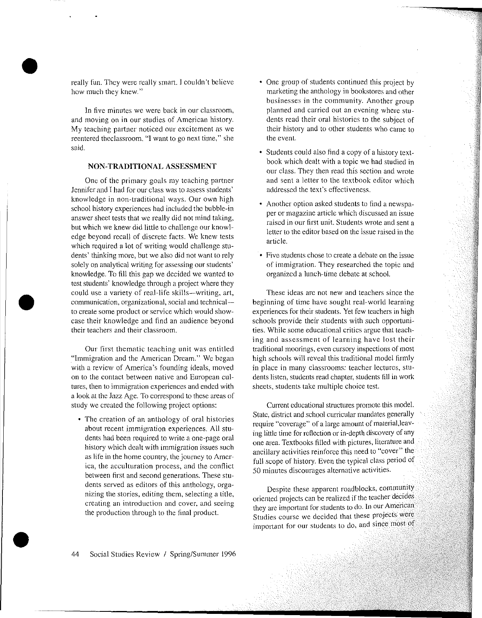really fun. They were really smart. I couldn't believe how much they knew."

•

•

•

In five minutes we were back in our classroom, and moving on in our studies of American history. My teaching pattner noticed our excitement as we reentered theclassroom. "I want to go next time," she said.

## NON-TRADITIONAL ASSESSMENT

One of the primary goals my teaching partner Jennifer and I had for our class was to assess students' knowledge in non-traditional ways. Our own high school history experiences had included the bubble-in answer sheet tests that we really did not mind taking, but which we knew did little to challenge our knowledge beyond recall of discrete facts. We knew tests which required a lot of writing would challenge students' thinking more, but we also did not want to rely solely on analytical writing for assessing our students' knowledge. To fill this gap we decided we wanted to test students' knowledge through a project where they could use a variety of real-life skills-writing, art, communication, organizational, social and technicalto create some product or service which would showcase their knowledge and find an audience beyond their teachers and their classroom.

Our first thematic teaching unit was entitled "Immigration and the American Dream." We began with a review of America's founding ideals, moved on to the contact between native and European cultures, then to immigration experiences and ended with a look at the Jazz Age. To correspond to these areas of study we created the following project options:

The creation of an anthology of oral histories about recent immigration experiences. All students had been required to write a one-page oral history which dealt with immigration issues such as life in the home country, the journey to America, the acculturation process, and the conflict between first and second generations. These students served as editors of this anthology, organizing the stories, editing them, selecting a title, creating an introduction and cover, and seeing the production through to the final product.

- One group of students continued this project by marketing the anthology in bookstores and other businesses in the community. Another group planned and carried out an evening where students read their oral histories to the subject of their history and to other students who came to the event.
- Students could also find a copy of a history textbook which dealt with a topic we had studied in our class. They then read this section and wrote and sent a letter to the textbook editor which addressed the text's effectiveness.
- Another option asked students to find a newspaper or magazine article which discussed an issue raised in our first unit. Students wrote and sent a letter to the editor based on the issue raised in the article.
- Five students chose to create a debate on the issue of immigration. They researched the topic and organized a lunch-time debate at school.

These ideas are not new and teachers since the beginning of time have sought real-world learning experiences for their students. Yet few teachers in high schools provide their students with such opportunities. While some educational critics argue that teaching and assessment of learning have lost their traditional moorings, even cursory inspections of most high schools will reveal this traditional model firmly in place in many classrooms: teacher lectures, students listen, students read chapter, students flll in work sheets, students take multiple choice test.

Current educational structures promote this model. State, district and school curricular mandates generally require "coverage" or a large amount of material,leaving little time for reflection or in-depth discovery of any one area. Textbooks filled with pictures, literature and ancillary activities reinforce this need to "cover" the full scope of history. Even the typical class period of 50 minutes discourages alternative activities.

Despite these apparent roadblocks, community oriented projects can be realized if the teacher decides they are important for students to do. In our American Studies course we decided that these projects were important for our students to do, and since most of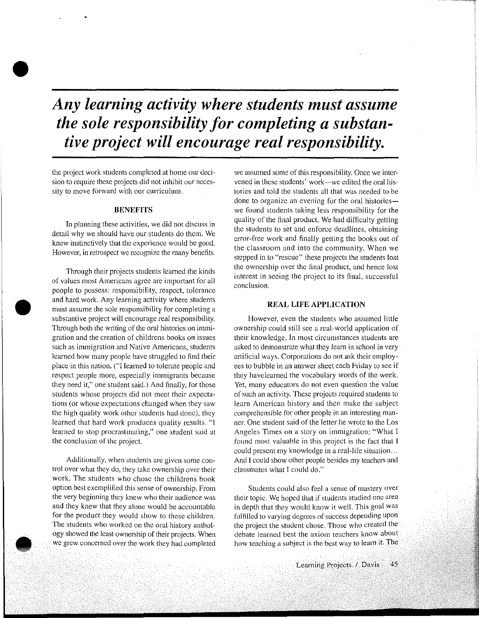## *Any learning activity where students must assume the sole responsibility for completing a substantive project will encourage real responsibility.*

the project work students completed at home our decision to require these projects did not inhibit our necessity to move forward with our curriculum.

•

•

**•** 

## **BENEFITS**

In planning these activities, we did not discuss in detail why we should have our students do them. We knew instinctively that the experience would be good. However, in retrospect we recognize the many benefits.

Through their projects students leamed the kinds of values most Americans agree are important for all people to possess: responsibility, respect, tolerance and hard work. Any learning activity where students must assume the sole responsibility for completing a substantive project will encourage real responsibility. Through both the writing of the oral histories on immigration and the creation of childrens books on issues such as immigration and Native Americans, students learned how many people have struggled to find their place-in this nation. ("I learned to tolerate people and respect people more, especially immigrants because they need it," one student said.) And finally, for those students whose projects did not meet their expectations (or whose expectations changed when they saw the high quality work other students had done), they learned that hard work produces quality results. "I learned to stop procrastinating," one student said at the conclusion of the project.

Additionally, when students are given some control over what they do, they take ownership over their work. The students who chose the childrens book option best exemplified this sense of ownership. From the very beginning they knew who their audience was and they knew that they alone would be accountable for the product they would show to these children. The students who worked on the oral history anthology showed the least ownership of their projects. When we grew concerned over the work they had completed

we assumed some of this responsibility. Once we intervened in these students' work-we edited the oral histories and told the students all that was needed to be done to organize an evening for the oral historieswe found students taking less responsibility for the quality of the final product. We had difficulty getting the students to set and enforce deadlines, obtaining error-free work and finally getting the books out of the classroom and into the community. When we stepped in to "rescue" these projects the students lost the ownership over the final product, and hence lost interest in seeing the project to its final, successful conclusion.

#### REAL LIFE APPLICATION

However, even the students who assumed little ownership could still see a real-world application of their knowledge. In most circumstances students are asked to demonstrate what they learn in school in very artificial ways. Corporations do not ask their employees to bubble in an answer sheet each Friday to see if they havelearned the vocabulary words of the week. Yet, many educators do not even question the value of such an activity. These projects required students to learn American history and then make the subject comprehensible for other people in an interesting manner. One student said of the letter he wrote to the Los Angeles Times on a story on immigration: "What I found most valuable in this project is the fact that I could present my knowledge in a real~life situation ... And I could show other people besides my teachers and classmates what I could do."

Students could also feel a sense of mastery over their topic. We hoped that if students studied one area in depth that they would know it well. This goal was fulfilled to varying degrees of success depending upon the project the student chose. Those who created the debate learned best the axiom teachers know about how teaching a subject is the best way to learn it. The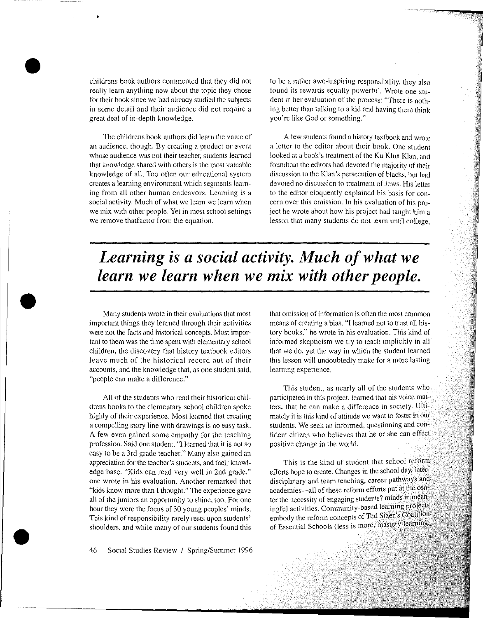childrens book authors commented that they did not really learn anything new about the topic they chose for their book since we had already studied the subjects in some detail and their audience did not require a great deal of in-depth knowledge.

•

•

•

•

The childrens book authors did learn the value of an audience, though. By creating a product or event whose audience was not their teacher, students learned that knowledge shared with others is the most valuable knowledge of all. Too often our educational system creates a learning environment which segments learning from all other human endeavors. Learning is a social activity. Much of what we learn we Jearn when we mix with other people. Yet in most school settings we remove thatfactor from the equation.

to be a rather awe-inspiring responsibility, they also found its rewards equally powerful. Wrote one student in her evaluation of the process: "There is nothing better than talking to a kid and having them think you're like God or something."

A few students found a history textbook and wrote a letter to the editor about their book. One student looked at a book's treatment of the Ku Klux Klan, and foundthat the editors had devoted the majority of their discussion to the Klan's persecution of blacks, but had devoted no discussion to treatment of Jews. His letter to the editor eloquently explained his basis for concern over this omission. In his evaluation of his pro~ ject he wrote about how his project had taught him a lesson that many students do not learn until college,

*Learning is a social activity. Much of what we learn we learn when we mix with other people.* 

Many students wrote in their evaluations that most important things they learned through their activities were not the facts and historical concepts. Most important to them was the time spent with elementary school children, the discovery that history textbook editors leave much of the historical record out of their accounts, and the knowledge that, as one student said, "people can make a difference."

All of the students who read their historical childrens books to the elementary school children spoke highly of their experience. Most learned that creating a compelling story line with drawings is no easy task. A few even gained some empathy for the teaching profession. Said one student, "I learned that it is not so easy to be a 3rd grade teacher." Many also gained an appreciation for the teacher's students, and their knowledge base. "Kids can read very well in 2nd grade," one wrote in his evaluation. Another remarked that "kids know more than I thought.'' The experience gave all of the juniors an opportunity to shine, too. For one hour they were the focus of 30 young peoples' minds. This kind of responsibility rarely rests upon students' shoulders, and while many of our students found this

that omission of information is often the most common means of creating a bias. "I learned not to trust all history books," he wrote in his evaluation. This kind of informed skepticism we try to teach implicitly in all that we do. yet the way in which the student learned this lesson will undoubtedly make for a more lasting learning experience.

This student, as nearly all of the students who participated in this project, learned that his voice matters, that he can make a difference in society. Ultimately it is this kind of attitude we want to foster in our students. We seek an informed, questioning and confident citizen who believes that he or she can effect positive change in the world.

This is the kind of student that school reform efforts hope to create. Changes in the school day, interdisciplinary and team teaching, career pathways and academies-all of these reform efforts put at the center the necessity of engaging students? minds in ingful activities. Community-based learning projects embody the reform concepts of Ted Sizer's Coalition of Essential Schools (less is more, mastery learning,

46 Social Studies Review I Spring/Summer 1996